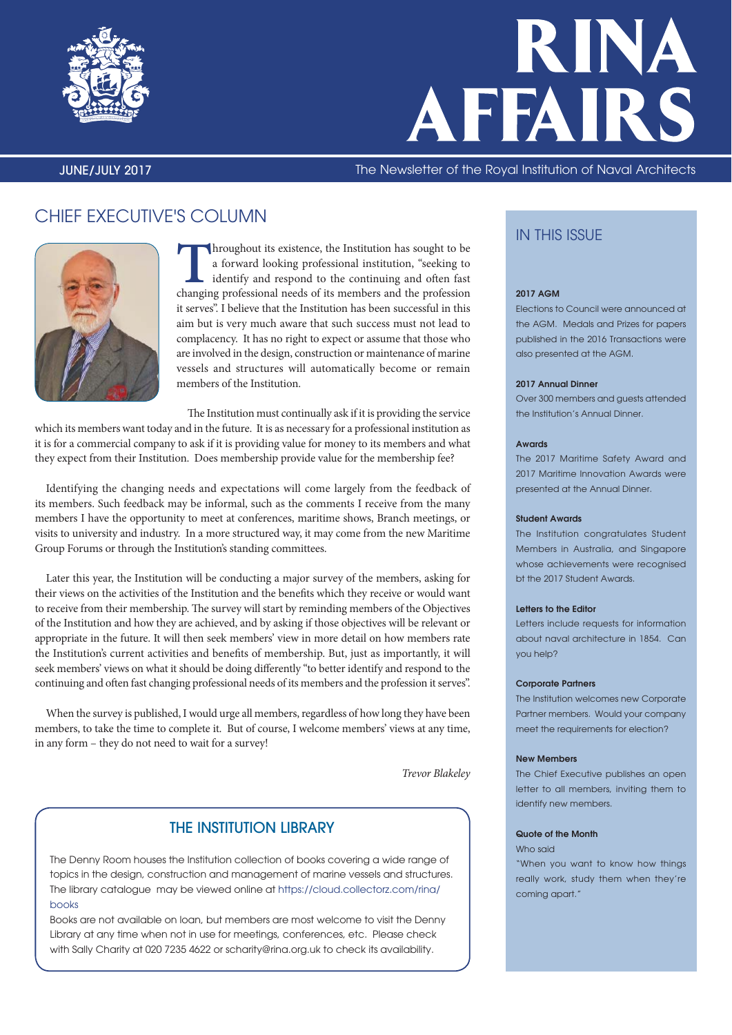

# RINA AFFAIRS

JUNE/JULY 2017 The Newsletter of the Royal Institution of Naval Architects

### CHIEF EXECUTIVE'S COLUMN



**Throughout its existence, the Institution has sought to be**<br>a forward looking professional institution, "seeking to<br>identify and respond to the continuing and often fast<br>changing professional needs of its members and the a forward looking professional institution, "seeking to identify and respond to the continuing and often fast changing professional needs of its members and the profession it serves". I believe that the Institution has been successful in this aim but is very much aware that such success must not lead to complacency. It has no right to expect or assume that those who are involved in the design, construction or maintenance of marine vessels and structures will automatically become or remain members of the Institution.

The Institution must continually ask if it is providing the service which its members want today and in the future. It is as necessary for a professional institution as it is for a commercial company to ask if it is providing value for money to its members and what they expect from their Institution. Does membership provide value for the membership fee?

Identifying the changing needs and expectations will come largely from the feedback of its members. Such feedback may be informal, such as the comments I receive from the many members I have the opportunity to meet at conferences, maritime shows, Branch meetings, or visits to university and industry. In a more structured way, it may come from the new Maritime Group Forums or through the Institution's standing committees.

Later this year, the Institution will be conducting a major survey of the members, asking for their views on the activities of the Institution and the benefits which they receive or would want to receive from their membership. The survey will start by reminding members of the Objectives of the Institution and how they are achieved, and by asking if those objectives will be relevant or appropriate in the future. It will then seek members' view in more detail on how members rate the Institution's current activities and benefits of membership. But, just as importantly, it will seek members' views on what it should be doing differently "to better identify and respond to the continuing and often fast changing professional needs of its members and the profession it serves".

When the survey is published, I would urge all members, regardless of how long they have been members, to take the time to complete it. But of course, I welcome members' views at any time, in any form – they do not need to wait for a survey!

*Trevor Blakeley*

### THE INSTITUTION LIBRARY

The Denny Room houses the Institution collection of books covering a wide range of topics in the design, construction and management of marine vessels and structures. The library catalogue may be viewed online at https://cloud.collectorz.com/rina/ books

Books are not available on loan, but members are most welcome to visit the Denny Library at any time when not in use for meetings, conferences, etc. Please check with Sally Charity at 020 7235 4622 or scharity@rina.org.uk to check its availability.

### IN THIS ISSUE

#### **2017 AGM**

Elections to Council were announced at the AGM. Medals and Prizes for papers published in the 2016 Transactions were also presented at the AGM.

#### **2017 Annual Dinner**

Over 300 members and guests attended the Institution's Annual Dinner.

#### **Awards**

The 2017 Maritime Safety Award and 2017 Maritime Innovation Awards were presented at the Annual Dinner.

#### **Student Awards**

The Institution congratulates Student Members in Australia, and Singapore whose achievements were recognised bt the 2017 Student Awards.

#### **Letters to the Editor**

Letters include requests for information about naval architecture in 1854. Can you help?

#### **Corporate Partners**

The Institution welcomes new Corporate Partner members. Would your company meet the requirements for election?

#### **New Members**

The Chief Executive publishes an open letter to all members, inviting them to identify new members.

#### **Quote of the Month**

Who said

"When you want to know how things really work, study them when they're coming apart."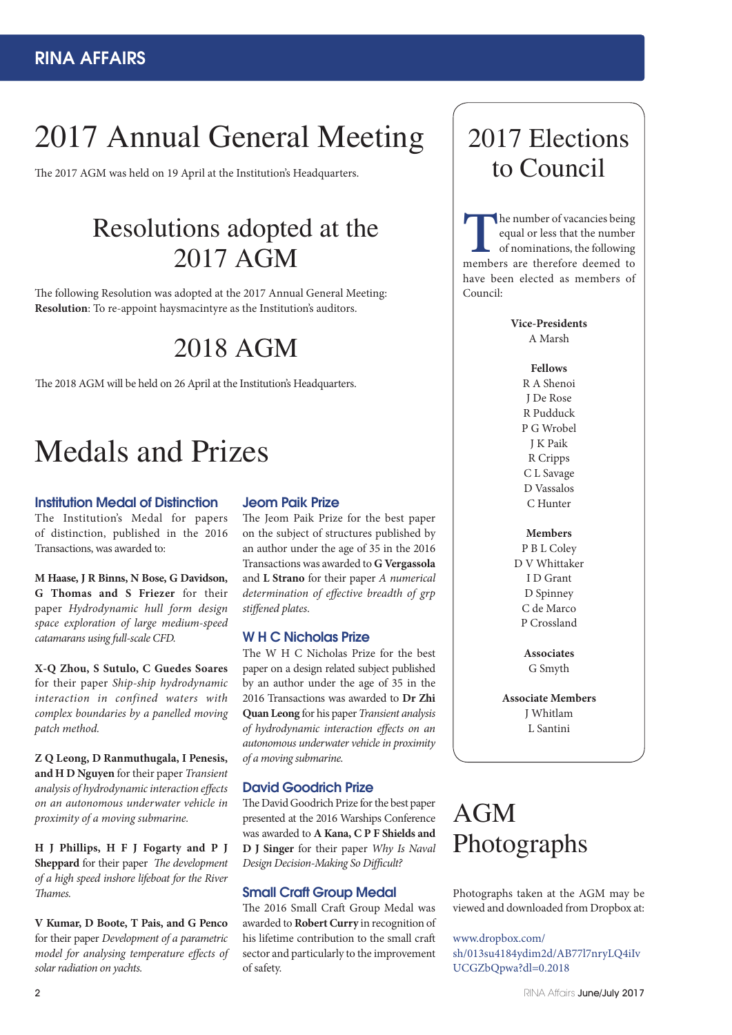# 2017 Annual General Meeting 2017 Elections

The 2017 AGM was held on 19 April at the Institution's Headquarters.

### Resolutions adopted at the 2017 AGM

The following Resolution was adopted at the 2017 Annual General Meeting: **Resolution**: To re-appoint haysmacintyre as the Institution's auditors.

### 2018 AGM

The 2018 AGM will be held on 26 April at the Institution's Headquarters.

# Medals and Prizes

### **Institution Medal of Distinction**

The Institution's Medal for papers of distinction, published in the 2016 Transactions, was awarded to:

**M Haase, J R Binns, N Bose, G Davidson, G Thomas and S Friezer** for their paper *Hydrodynamic hull form design space exploration of large medium-speed catamarans using full-scale CFD.*

**X-Q Zhou, S Sutulo, C Guedes Soares** for their paper *Ship-ship hydrodynamic interaction in confined waters with complex boundaries by a panelled moving patch method.*

**Z Q Leong, D Ranmuthugala, I Penesis, and H D Nguyen** for their paper *Transient analysis of hydrodynamic interaction eff ects on an autonomous underwater vehicle in proximity of a moving submarine.*

**H J Phillips, H F J Fogarty and P J Sheppard** for their paper *The development of a high speed inshore lifeboat for the River Th ames.*

**V Kumar, D Boote, T Pais, and G Penco** for their paper *Development of a parametric model for analysing temperature effects of solar radiation on yachts.*

#### **Jeom Paik Prize**

The Jeom Paik Prize for the best paper on the subject of structures published by an author under the age of 35 in the 2016 Transactions was awarded to **G Vergassola**  and **L Strano** for their paper *A numerical*  determination of effective breadth of grp stiffened plates.

### **W H C Nicholas Prize**

The W H C Nicholas Prize for the best paper on a design related subject published by an author under the age of 35 in the 2016 Transactions was awarded to **Dr Zhi Quan Leong** for his paper *Transient analysis of hydrodynamic interaction effects on an autonomous underwater vehicle in proximity of a moving submarine.*

### **David Goodrich Prize**

The David Goodrich Prize for the best paper presented at the 2016 Warships Conference was awarded to **A Kana, C P F Shields and D J Singer** for their paper *Why Is Naval*  **Design Decision-Making So Difficult?** 

### **Small Craft Group Medal**

The 2016 Small Craft Group Medal was awarded to **Robert Curry** in recognition of his lifetime contribution to the small craft sector and particularly to the improvement of safety.

# to Council

**The number of vacancies being**<br>
equal or less that the number<br>
of nominations, the following<br>
members are therefore deemed to equal or less that the number of nominations, the following have been elected as members of Council:

> **Vice-Presidents** A Marsh

- **Fellows**
- R A Shenoi J De Rose R Pudduck P G Wrobel J K Paik R Cripps C L Savage D Vassalos C Hunter

#### **Members**

P B L Coley D V Whittaker I D Grant D Spinney C de Marco P Crossland

> **Associates** G Smyth

**Associate Members** J Whitlam L Santini

AGM Photographs

Photographs taken at the AGM may be viewed and downloaded from Dropbox at:

www.dropbox.com/ sh/013su4184ydim2d/AB77l7nryLQ4iIv UCGZbQpwa?dl=0.2018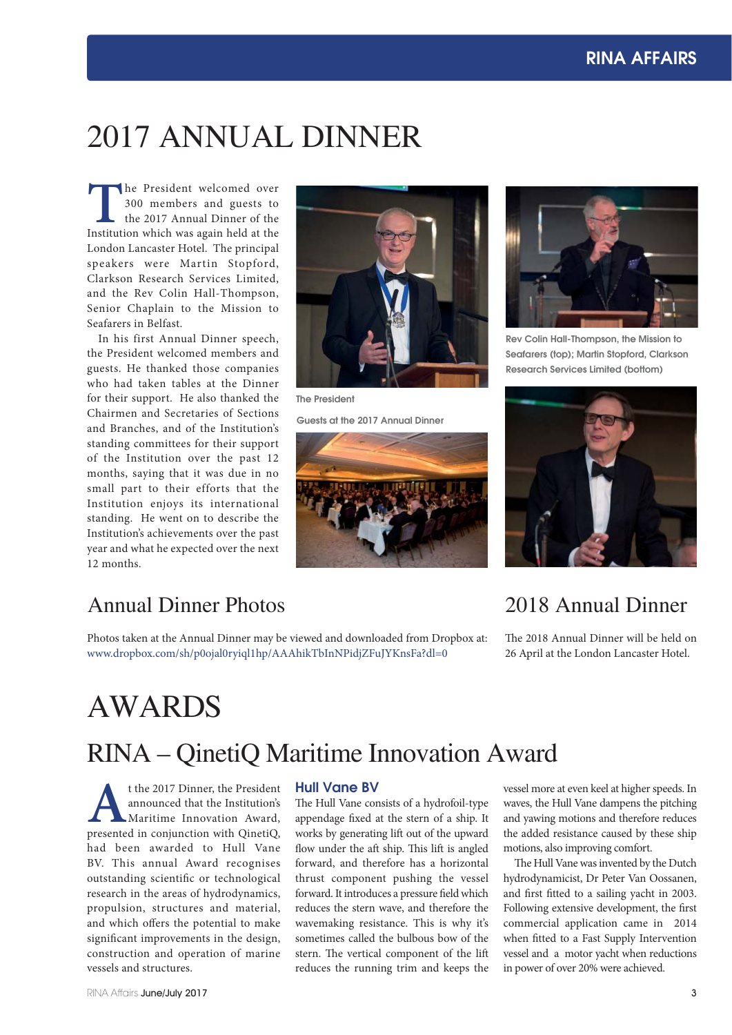# 2017 ANNUAL DINNER

The President welcomed over<br>300 members and guests to<br>the 2017 Annual Dinner of the<br>Institution which was again held at the 300 members and guests to the 2017 Annual Dinner of the Institution which was again held at the London Lancaster Hotel. The principal speakers were Martin Stopford, Clarkson Research Services Limited, and the Rev Colin Hall-Thompson, Senior Chaplain to the Mission to Seafarers in Belfast.

In his first Annual Dinner speech, the President welcomed members and guests. He thanked those companies who had taken tables at the Dinner for their support. He also thanked the Chairmen and Secretaries of Sections and Branches, and of the Institution's standing committees for their support of the Institution over the past 12 months, saying that it was due in no small part to their efforts that the Institution enjoys its international standing. He went on to describe the Institution's achievements over the past year and what he expected over the next 12 months.



**The President**

**Guests at the 2017 Annual Dinner**





**Rev Colin Hall-Thompson, the Mission to Seafarers (top); Martin Stopford, Clarkson Research Services Limited (bottom)**



### Annual Dinner Photos 2018 Annual Dinner

Photos taken at the Annual Dinner may be viewed and downloaded from Dropbox at: www.dropbox.com/sh/p0ojal0ryiql1hp/AAAhikTbInNPidjZFuJYKnsFa?dl=0

The 2018 Annual Dinner will be held on 26 April at the London Lancaster Hotel.

## AWARDS

### RINA – QinetiQ Maritime Innovation Award

**A**t the 2017 Dinner, the President announced that the Institution's Maritime Innovation Award, presented in conjunction with QinetiQ, announced that the Institution's Maritime Innovation Award, had been awarded to Hull Vane BV. This annual Award recognises outstanding scientific or technological research in the areas of hydrodynamics, propulsion, structures and material, and which offers the potential to make significant improvements in the design, construction and operation of marine vessels and structures.

### **Hull Vane BV**

The Hull Vane consists of a hydrofoil-type appendage fixed at the stern of a ship. It works by generating lift out of the upward flow under the aft ship. This lift is angled forward, and therefore has a horizontal thrust component pushing the vessel forward. It introduces a pressure field which reduces the stern wave, and therefore the wavemaking resistance. This is why it's sometimes called the bulbous bow of the stern. The vertical component of the lift reduces the running trim and keeps the

vessel more at even keel at higher speeds. In waves, the Hull Vane dampens the pitching and yawing motions and therefore reduces the added resistance caused by these ship motions, also improving comfort.

The Hull Vane was invented by the Dutch hydrodynamicist, Dr Peter Van Oossanen, and first fitted to a sailing yacht in 2003. Following extensive development, the first commercial application came in 2014 when fitted to a Fast Supply Intervention vessel and a motor yacht when reductions in power of over 20% were achieved.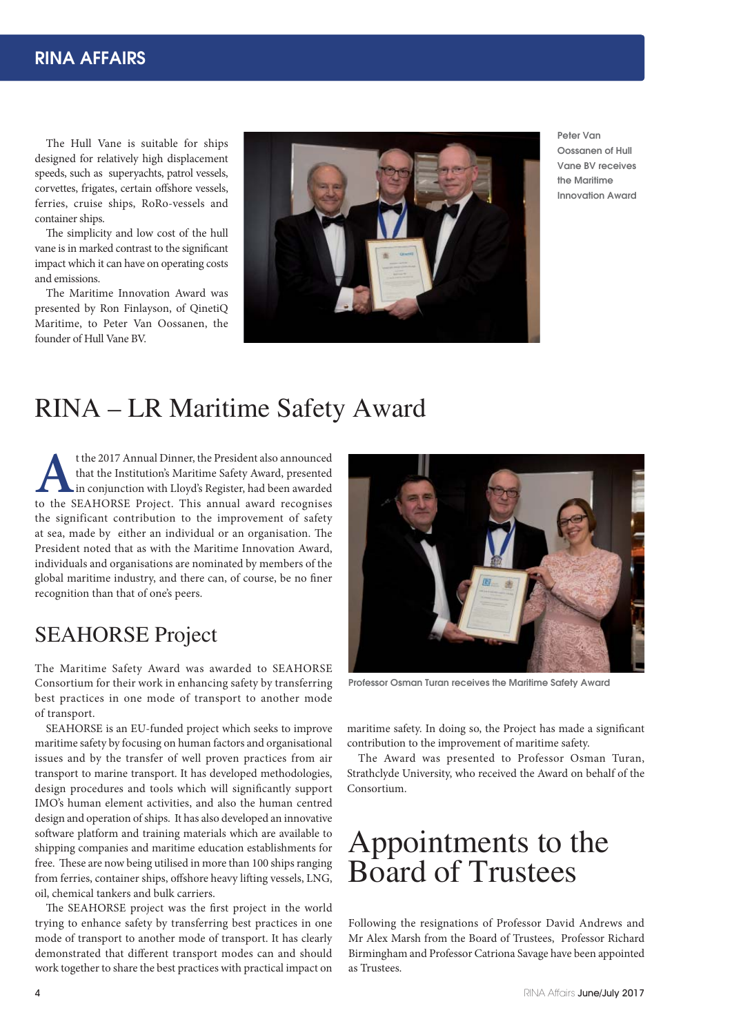### **XXXXXXXXXXXXXXXXXXXXXXXXXXXXXXX RINA AFFAIRS**

The Hull Vane is suitable for ships designed for relatively high displacement speeds, such as superyachts, patrol vessels, corvettes, frigates, certain offshore vessels, ferries, cruise ships, RoRo-vessels and container ships.

The simplicity and low cost of the hull vane is in marked contrast to the significant impact which it can have on operating costs and emissions.

The Maritime Innovation Award was presented by Ron Finlayson, of QinetiQ Maritime, to Peter Van Oossanen, the founder of Hull Vane BV.



**Peter Van Oossanen of Hull Vane BV receives the Maritime Innovation Award**

### RINA – LR Maritime Safety Award

the 2017 Annual Dinner, the President also announced<br>that the Institution's Maritime Safety Award, presented<br>in conjunction with Lloyd's Register, had been awarded<br>to the SEAHORSE Project. This annual award recognises that the Institution's Maritime Safety Award, presented in conjunction with Lloyd's Register, had been awarded to the SEAHORSE Project. This annual award recognises the significant contribution to the improvement of safety at sea, made by either an individual or an organisation. The President noted that as with the Maritime Innovation Award, individuals and organisations are nominated by members of the global maritime industry, and there can, of course, be no finer recognition than that of one's peers.

### SEAHORSE Project

The Maritime Safety Award was awarded to SEAHORSE Consortium for their work in enhancing safety by transferring best practices in one mode of transport to another mode of transport.

SEAHORSE is an EU-funded project which seeks to improve maritime safety by focusing on human factors and organisational issues and by the transfer of well proven practices from air transport to marine transport. It has developed methodologies, design procedures and tools which will significantly support IMO's human element activities, and also the human centred design and operation of ships. It has also developed an innovative soft ware platform and training materials which are available to shipping companies and maritime education establishments for free. These are now being utilised in more than 100 ships ranging from ferries, container ships, offshore heavy lifting vessels, LNG, oil, chemical tankers and bulk carriers.

The SEAHORSE project was the first project in the world trying to enhance safety by transferring best practices in one mode of transport to another mode of transport. It has clearly demonstrated that different transport modes can and should work together to share the best practices with practical impact on



**Professor Osman Turan receives the Maritime Safety Award**

maritime safety. In doing so, the Project has made a significant contribution to the improvement of maritime safety.

The Award was presented to Professor Osman Turan, Strathclyde University, who received the Award on behalf of the Consortium.

### Appointments to the Board of Trustees

Following the resignations of Professor David Andrews and Mr Alex Marsh from the Board of Trustees, Professor Richard Birmingham and Professor Catriona Savage have been appointed as Trustees.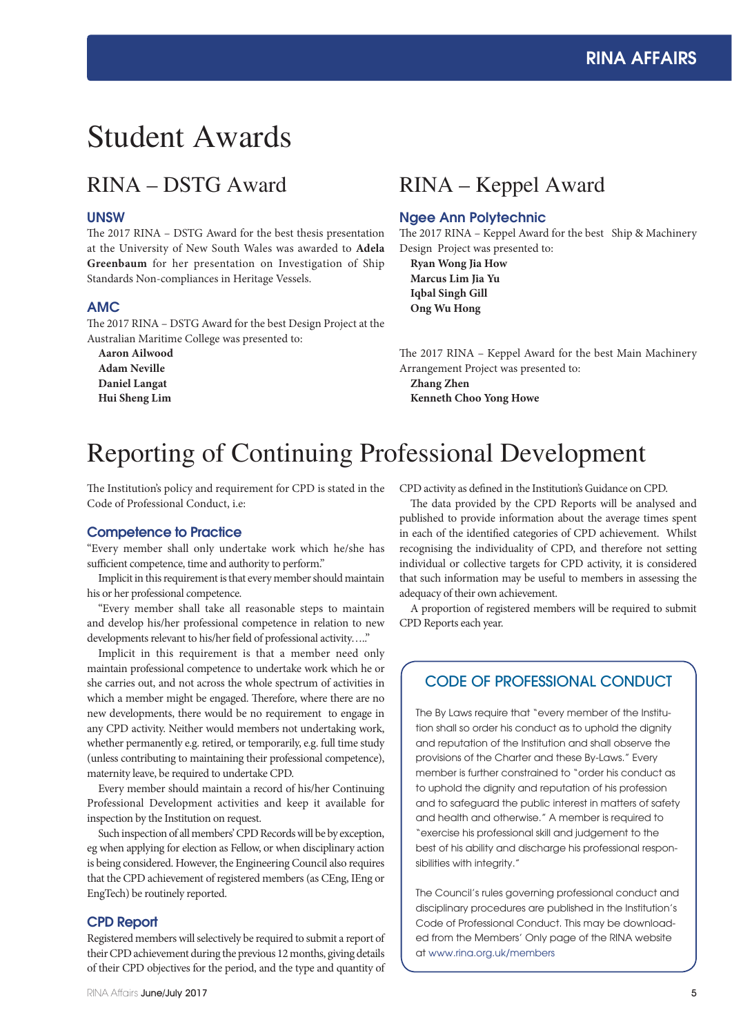## Student Awards

### RINA – DSTG Award

### **UNSW**

The 2017 RINA - DSTG Award for the best thesis presentation at the University of New South Wales was awarded to **Adela Greenbaum** for her presentation on Investigation of Ship Standards Non-compliances in Heritage Vessels.

#### **AMC**

The 2017 RINA – DSTG Award for the best Design Project at the Australian Maritime College was presented to:

**Aaron Ailwood Adam Neville Daniel Langat Hui Sheng Lim**

### RINA – Keppel Award

### **Ngee Ann Polytechnic**

The 2017 RINA - Keppel Award for the best Ship & Machinery Design Project was presented to:

**Ryan Wong Jia How Marcus Lim Jia Yu Iqbal Singh Gill Ong Wu Hong**

The 2017 RINA - Keppel Award for the best Main Machinery Arrangement Project was presented to: **Zhang Zhen**

**Kenneth Choo Yong Howe**

### Reporting of Continuing Professional Development

The Institution's policy and requirement for CPD is stated in the Code of Professional Conduct, i.e:

### **Competence to Practice**

"Every member shall only undertake work which he/she has sufficient competence, time and authority to perform."

Implicit in this requirement is that every member should maintain his or her professional competence.

"Every member shall take all reasonable steps to maintain and develop his/her professional competence in relation to new developments relevant to his/her field of professional activity...."

Implicit in this requirement is that a member need only maintain professional competence to undertake work which he or she carries out, and not across the whole spectrum of activities in which a member might be engaged. Therefore, where there are no new developments, there would be no requirement to engage in any CPD activity. Neither would members not undertaking work, whether permanently e.g. retired, or temporarily, e.g. full time study (unless contributing to maintaining their professional competence), maternity leave, be required to undertake CPD.

Every member should maintain a record of his/her Continuing Professional Development activities and keep it available for inspection by the Institution on request.

Such inspection of all members' CPD Records will be by exception, eg when applying for election as Fellow, or when disciplinary action is being considered. However, the Engineering Council also requires that the CPD achievement of registered members (as CEng, IEng or EngTech) be routinely reported.

#### **CPD Report**

Registered members will selectively be required to submit a report of their CPD achievement during the previous 12 months, giving details of their CPD objectives for the period, and the type and quantity of

CPD activity as defined in the Institution's Guidance on CPD.

The data provided by the CPD Reports will be analysed and published to provide information about the average times spent in each of the identified categories of CPD achievement. Whilst recognising the individuality of CPD, and therefore not setting individual or collective targets for CPD activity, it is considered that such information may be useful to members in assessing the adequacy of their own achievement.

A proportion of registered members will be required to submit CPD Reports each year.

### CODE OF PROFESSIONAL CONDUCT

The By Laws require that "every member of the Institution shall so order his conduct as to uphold the dignity and reputation of the Institution and shall observe the provisions of the Charter and these By-Laws." Every member is further constrained to "order his conduct as to uphold the dignity and reputation of his profession and to safeguard the public interest in matters of safety and health and otherwise." A member is required to "exercise his professional skill and judgement to the best of his ability and discharge his professional responsibilities with integrity."

The Council's rules governing professional conduct and disciplinary procedures are published in the Institution's Code of Professional Conduct. This may be downloaded from the Members' Only page of the RINA website at www.rina.org.uk/members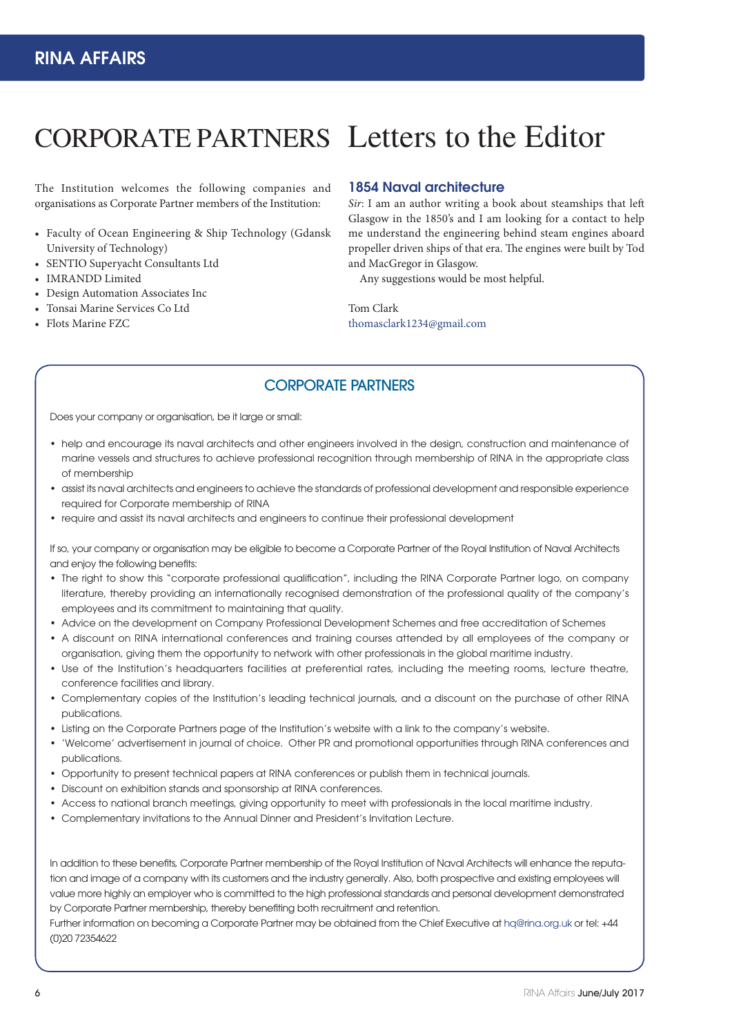# CORPORATE PARTNERS Letters to the Editor

The Institution welcomes the following companies and organisations as Corporate Partner members of the Institution:

- Faculty of Ocean Engineering & Ship Technology (Gdansk University of Technology)
- SENTIO Superyacht Consultants Ltd
- IMRANDD Limited
- Design Automation Associates Inc
- Tonsai Marine Services Co Ltd
- Flots Marine FZC

#### **1854 Naval architecture**

*Sir*: I am an author writing a book about steamships that left Glasgow in the 1850's and I am looking for a contact to help me understand the engineering behind steam engines aboard propeller driven ships of that era. The engines were built by Tod and MacGregor in Glasgow.

Any suggestions would be most helpful.

Tom Clark thomasclark1234@gmail.com

### CORPORATE PARTNERS

Does your company or organisation, be it large or small:

- help and encourage its naval architects and other engineers involved in the design, construction and maintenance of marine vessels and structures to achieve professional recognition through membership of RINA in the appropriate class of membership
- assist its naval architects and engineers to achieve the standards of professional development and responsible experience required for Corporate membership of RINA
- require and assist its naval architects and engineers to continue their professional development

If so, your company or organisation may be eligible to become a Corporate Partner of the Royal Institution of Naval Architects and enjoy the following benefits:

- The right to show this "corporate professional qualification", including the RINA Corporate Partner logo, on company literature, thereby providing an internationally recognised demonstration of the professional quality of the company's employees and its commitment to maintaining that quality.
- Advice on the development on Company Professional Development Schemes and free accreditation of Schemes
- A discount on RINA international conferences and training courses attended by all employees of the company or organisation, giving them the opportunity to network with other professionals in the global maritime industry.
- Use of the Institution's headquarters facilities at preferential rates, including the meeting rooms, lecture theatre, conference facilities and library.
- Complementary copies of the Institution's leading technical journals, and a discount on the purchase of other RINA publications.
- Listing on the Corporate Partners page of the Institution's website with a link to the company's website.
- 'Welcome' advertisement in journal of choice. Other PR and promotional opportunities through RINA conferences and publications.
- Opportunity to present technical papers at RINA conferences or publish them in technical journals.
- Discount on exhibition stands and sponsorship at RINA conferences.
- Access to national branch meetings, giving opportunity to meet with professionals in the local maritime industry.
- Complementary invitations to the Annual Dinner and President's Invitation Lecture.

In addition to these benefits, Corporate Partner membership of the Royal Institution of Naval Architects will enhance the reputation and image of a company with its customers and the industry generally. Also, both prospective and existing employees will value more highly an employer who is committed to the high professional standards and personal development demonstrated by Corporate Partner membership, thereby benefiting both recruitment and retention.

Further information on becoming a Corporate Partner may be obtained from the Chief Executive at hq@rina.org.uk or tel: +44 (0)20 72354622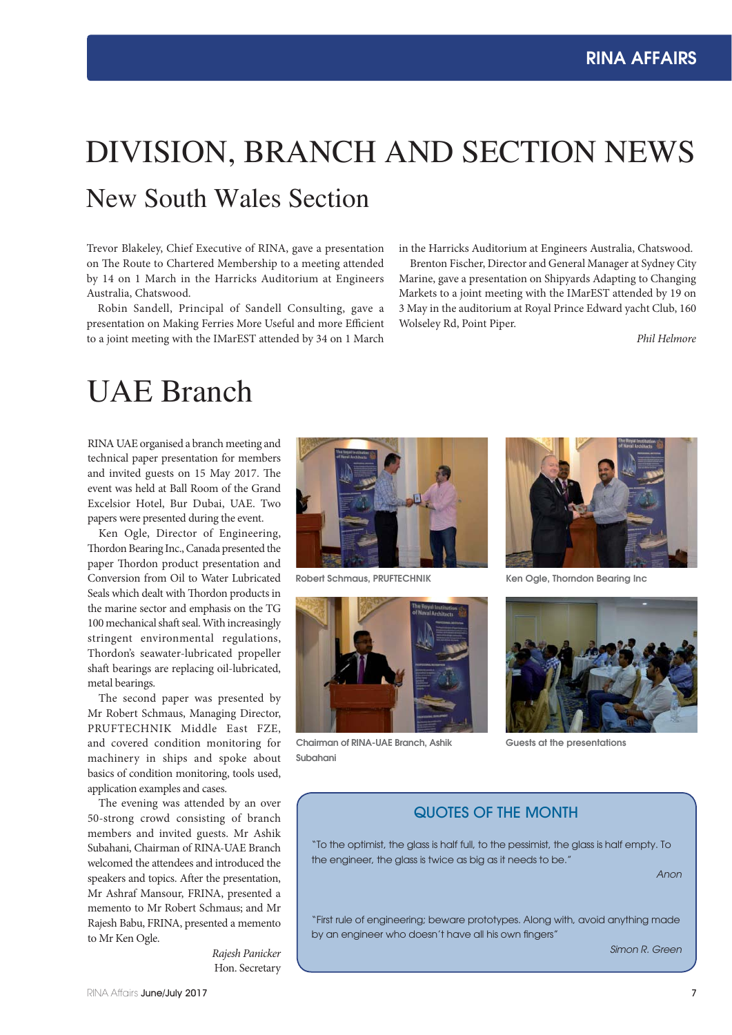# New South Wales Section DIVISION, BRANCH AND SECTION NEWS

Trevor Blakeley, Chief Executive of RINA, gave a presentation on The Route to Chartered Membership to a meeting attended by 14 on 1 March in the Harricks Auditorium at Engineers Australia, Chatswood.

Robin Sandell, Principal of Sandell Consulting, gave a presentation on Making Ferries More Useful and more Efficient to a joint meeting with the IMarEST attended by 34 on 1 March in the Harricks Auditorium at Engineers Australia, Chatswood.

Brenton Fischer, Director and General Manager at Sydney City Marine, gave a presentation on Shipyards Adapting to Changing Markets to a joint meeting with the IMarEST attended by 19 on 3 May in the auditorium at Royal Prince Edward yacht Club, 160 Wolseley Rd, Point Piper.

*Phil Helmore*

# UAE Branch

RINA UAE organised a branch meeting and technical paper presentation for members and invited guests on 15 May 2017. The event was held at Ball Room of the Grand Excelsior Hotel, Bur Dubai, UAE. Two papers were presented during the event.

Ken Ogle, Director of Engineering, Thordon Bearing Inc., Canada presented the paper Thordon product presentation and Conversion from Oil to Water Lubricated Seals which dealt with Thordon products in the marine sector and emphasis on the TG 100 mechanical shaft seal. With increasingly stringent environmental regulations, Thordon's seawater-lubricated propeller shaft bearings are replacing oil-lubricated, metal bearings.

The second paper was presented by Mr Robert Schmaus, Managing Director, PRUFTECHNIK Middle East FZE, and covered condition monitoring for machinery in ships and spoke about basics of condition monitoring, tools used, application examples and cases.

The evening was attended by an over 50-strong crowd consisting of branch members and invited guests. Mr Ashik Subahani, Chairman of RINA-UAE Branch welcomed the attendees and introduced the speakers and topics. After the presentation, Mr Ashraf Mansour, FRINA, presented a memento to Mr Robert Schmaus; and Mr Rajesh Babu, FRINA, presented a memento to Mr Ken Ogle.

*Rajesh Panicker* Hon. Secretary



**Robert Schmaus, PRUFTECHNIK**



**Chairman of RINA-UAE Branch, Ashik Subahani**



**Ken Ogle, Thorndon Bearing Inc**



**Guests at the presentations**

### QUOTES OF THE MONTH

"To the optimist, the glass is half full, to the pessimist, the glass is half empty. To the engineer, the glass is twice as big as it needs to be."

*Anon*

"First rule of engineering; beware prototypes. Along with, avoid anything made by an engineer who doesn't have all his own fingers"

*Simon R. Green*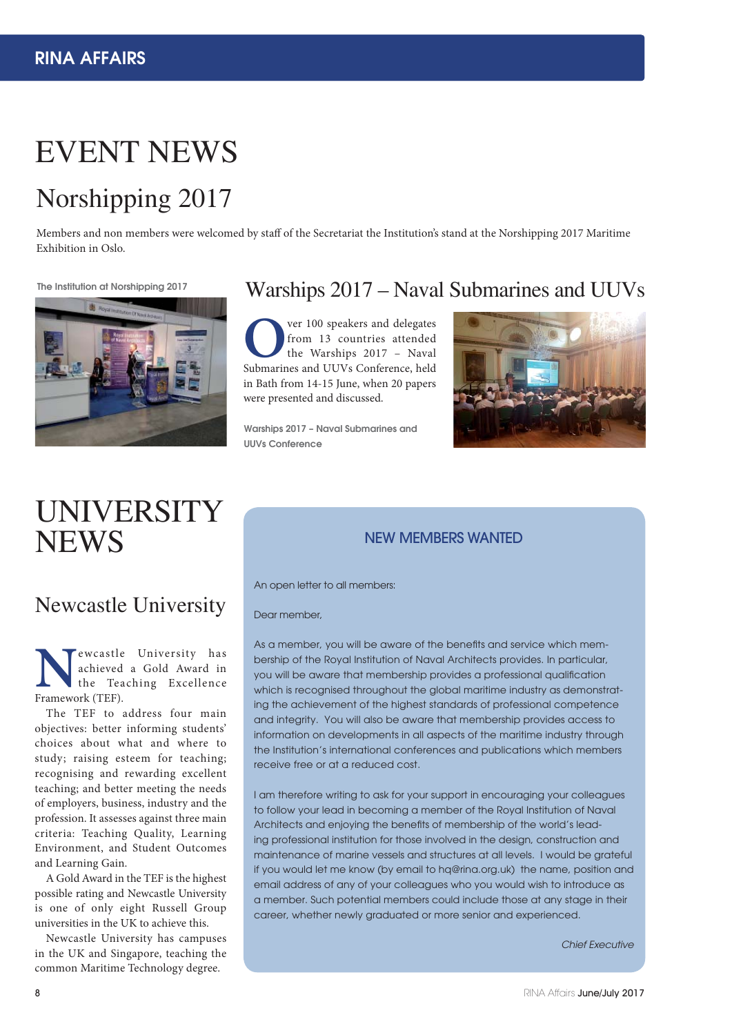# EVENT NEWS

### Norshipping 2017

Members and non members were welcomed by staff of the Secretariat the Institution's stand at the Norshipping 2017 Maritime Exhibition in Oslo.

**The Institution at Norshipping 2017**



# UNIVERSITY **NEWS**

### Newcastle University

'ewcastle University has achieved a Gold Award in the Teaching Excellence Framework (TEF).

The TEF to address four main objectives: better informing students' choices about what and where to study; raising esteem for teaching; recognising and rewarding excellent teaching; and better meeting the needs of employers, business, industry and the profession. It assesses against three main criteria: Teaching Quality, Learning Environment, and Student Outcomes and Learning Gain.

A Gold Award in the TEF is the highest possible rating and Newcastle University is one of only eight Russell Group universities in the UK to achieve this.

Newcastle University has campuses in the UK and Singapore, teaching the common Maritime Technology degree.

### Warships 2017 – Naval Submarines and UUVs

**O**ver 100 speakers and delegates<br>
from 13 countries attended<br>
Submarines and UUVs Conference, held from 13 countries attended the Warships 2017 – Naval in Bath from 14-15 June, when 20 papers were presented and discussed.

**Warships 2017 – Naval Submarines and UUVs Conference**



### NEW MEMBERS WANTED

An open letter to all members:

#### Dear member,

As a member, you will be aware of the benefits and service which membership of the Royal Institution of Naval Architects provides. In particular, you will be aware that membership provides a professional qualification which is recognised throughout the global maritime industry as demonstrating the achievement of the highest standards of professional competence and integrity. You will also be aware that membership provides access to information on developments in all aspects of the maritime industry through the Institution's international conferences and publications which members receive free or at a reduced cost.

I am therefore writing to ask for your support in encouraging your colleagues to follow your lead in becoming a member of the Royal Institution of Naval Architects and enjoying the benefits of membership of the world's leading professional institution for those involved in the design, construction and maintenance of marine vessels and structures at all levels. I would be grateful if you would let me know (by email to hq@rina.org.uk) the name, position and email address of any of your colleagues who you would wish to introduce as a member. Such potential members could include those at any stage in their career, whether newly graduated or more senior and experienced.

*Chief Executive*